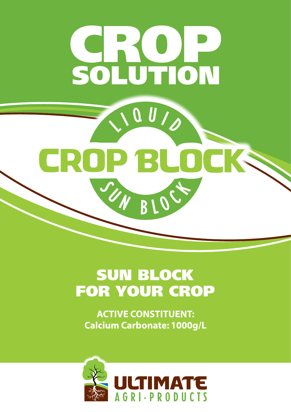

# SUN BLOCK FOR YOUR CROP

**ACTIVE CONSTITUENT: Calcium Carbonate: 1000g/L**